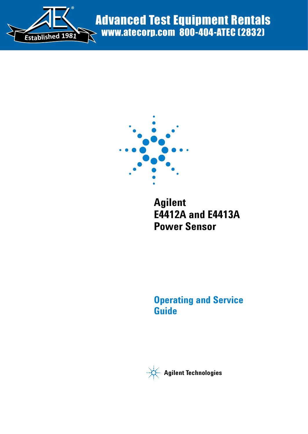

Advanced Test Equipment Rentals www.atecorp.com 800-404-ATEC (2832)



# **Agilent E4412A and E4413A Power Sensor**

# **Operating and Service Guide**



**Agilent Technologies**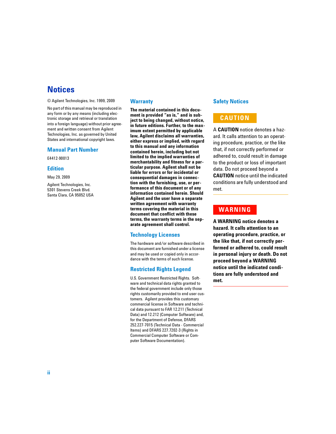# <span id="page-1-0"></span>**Notices**

© Agilent Technologies, Inc. 1999, 2009

No part of this manual may be reproduced in any form or by any means (including electronic storage and retrieval or translation into a foreign language) without prior agreement and written consent from Agilent Technologies, Inc. as governed by United States and international copyright laws.

#### **Manual Part Number**

E4412-90013

#### **Edition**

May 29, 2009

Agilent Technologies, Inc. 5301 Stevens Creek Blvd. Santa Clara, CA 95052 USA

#### **Warranty**

**The material contained in this document is provided "as is," and is subject to being changed, without notice, in future editions. Further, to the maximum extent permitted by applicable law, Agilent disclaims all warranties, either express or implied, with regard to this manual and any information contained herein, including but not limited to the implied warranties of merchantability and fitness for a particular purpose. Agilent shall not be liable for errors or for incidental or consequential damages in connection with the furnishing, use, or performance of this document or of any information contained herein. Should Agilent and the user have a separate written agreement with warranty terms covering the material in this document that conflict with these terms, the warranty terms in the separate agreement shall control.**

#### **Technology Licenses**

The hardware and/or software described in this document are furnished under a license and may be used or copied only in accordance with the terms of such license.

#### **Restricted Rights Legend**

U.S. Government Restricted Rights. Software and technical data rights granted to the federal government include only those rights customarily provided to end user customers. Agilent provides this customary commercial license in Software and technical data pursuant to FAR 12.211 (Technical Data) and 12.212 (Computer Software) and, for the Department of Defense, DFARS 252.227-7015 (Technical Data - Commercial Items) and DFARS 227.7202-3 (Rights in Commercial Computer Software or Computer Software Documentation).

#### **Safety Notices**

## **CAUTION**

A **CAUTION** notice denotes a hazard. It calls attention to an operating procedure, practice, or the like that, if not correctly performed or adhered to, could result in damage to the product or loss of important data. Do not proceed beyond a **CAUTION** notice until the indicated conditions are fully understood and met.

#### **WARNING**

**A WARNING notice denotes a hazard. It calls attention to an operating procedure, practice, or the like that, if not correctly performed or adhered to, could result in personal injury or death. Do not proceed beyond a WARNING notice until the indicated conditions are fully understood and met.**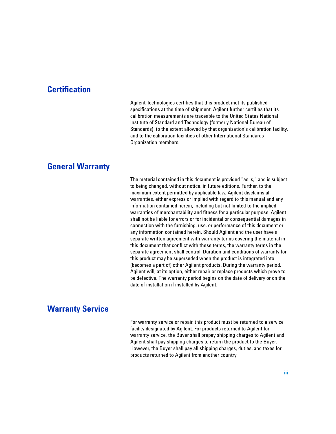# **Certification**

Agilent Technologies certifies that this product met its published specifications at the time of shipment. Agilent further certifies that its calibration measurements are traceable to the United States National Institute of Standard and Technology (formerly National Bureau of Standards), to the extent allowed by that organization's calibration facility, and to the calibration facilities of other International Standards Organization members.

# <span id="page-2-0"></span>**General Warranty**

The material contained in this document is provided "as is," and is subject to being changed, without notice, in future editions. Further, to the maximum extent permitted by applicable law, Agilent disclaims all warranties, either express or implied with regard to this manual and any information contained herein, including but not limited to the implied warranties of merchantability and fitness for a particular purpose. Agilent shall not be liable for errors or for incidental or consequential damages in connection with the furnishing, use, or performance of this document or any information contained herein. Should Agilent and the user have a separate written agreement with warranty terms covering the material in this document that conflict with these terms, the warranty terms in the separate agreement shall control. Duration and conditions of warranty for this product may be superseded when the product is integrated into (becomes a part of) other Agilent products. During the warranty period, Agilent will, at its option, either repair or replace products which prove to be defective. The warranty period begins on the date of delivery or on the date of installation if installed by Agilent.

# <span id="page-2-1"></span>**Warranty Service**

For warranty service or repair, this product must be returned to a service facility designated by Agilent. For products returned to Agilent for warranty service, the Buyer shall prepay shipping charges to Agilent and Agilent shall pay shipping charges to return the product to the Buyer. However, the Buyer shall pay all shipping charges, duties, and taxes for products returned to Agilent from another country.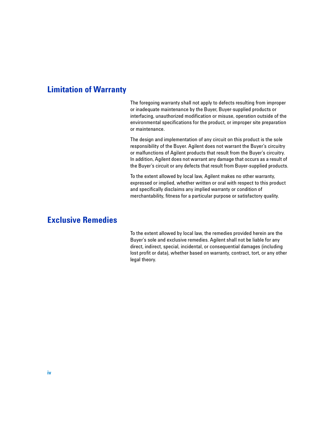# <span id="page-3-0"></span>**Limitation of Warranty**

The foregoing warranty shall not apply to defects resulting from improper or inadequate maintenance by the Buyer, Buyer-supplied products or interfacing, unauthorized modification or misuse, operation outside of the environmental specifications for the product, or improper site preparation or maintenance.

The design and implementation of any circuit on this product is the sole responsibility of the Buyer. Agilent does not warrant the Buyer's circuitry or malfunctions of Agilent products that result from the Buyer's circuitry. In addition, Agilent does not warrant any damage that occurs as a result of the Buyer's circuit or any defects that result from Buyer-supplied products.

To the extent allowed by local law, Agilent makes no other warranty, expressed or implied, whether written or oral with respect to this product and specifically disclaims any implied warranty or condition of merchantability, fitness for a particular purpose or satisfactory quality.

# <span id="page-3-1"></span>**Exclusive Remedies**

To the extent allowed by local law, the remedies provided herein are the Buyer's sole and exclusive remedies. Agilent shall not be liable for any direct, indirect, special, incidental, or consequential damages (including lost profit or data), whether based on warranty, contract, tort, or any other legal theory.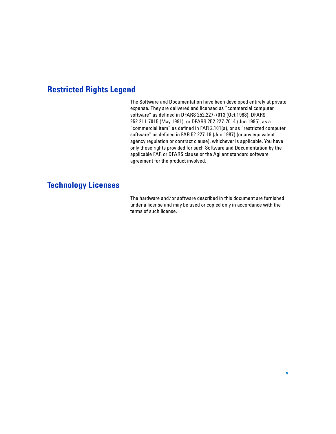# **Restricted Rights Legend**

The Software and Documentation have been developed entirely at private expense. They are delivered and licensed as "commercial computer software" as defined in DFARS 252.227-7013 (Oct 1988), DFARS 252.211-7015 (May 1991), or DFARS 252.227-7014 (Jun 1995), as a "commercial item" as defined in FAR 2.101(a), or as "restricted computer software" as defined in FAR 52.227-19 (Jun 1987) (or any equivalent agency regulation or contract clause), whichever is applicable. You have only those rights provided for such Software and Documentation by the applicable FAR or DFARS clause or the Agilent standard software agreement for the product involved.

# <span id="page-4-0"></span>**Technology Licenses**

The hardware and/or software described in this document are furnished under a license and may be used or copied only in accordance with the terms of such license.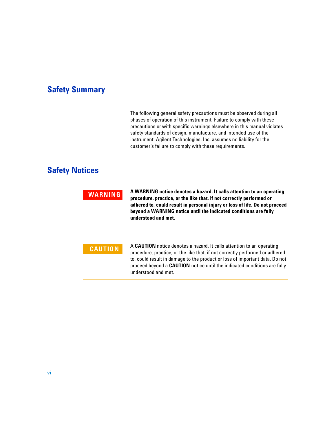# <span id="page-5-0"></span>**Safety Summary**

The following general safety precautions must be observed during all phases of operation of this instrument. Failure to comply with these precautions or with specific warnings elsewhere in this manual violates safety standards of design, manufacture, and intended use of the instrument. Agilent Technologies, Inc. assumes no liability for the customer's failure to comply with these requirements.

# <span id="page-5-1"></span>**Safety Notices**

| <b>WARNING</b> | A WARNING notice denotes a hazard. It calls attention to an operating<br>procedure, practice, or the like that, if not correctly performed or<br>adhered to, could result in personal injury or loss of life. Do not proceed<br>beyond a WARNING notice until the indicated conditions are fully<br>understood and met.                        |
|----------------|------------------------------------------------------------------------------------------------------------------------------------------------------------------------------------------------------------------------------------------------------------------------------------------------------------------------------------------------|
| <b>CAUTION</b> | A <b>CAUTION</b> notice denotes a hazard. It calls attention to an operating<br>procedure, practice, or the like that, if not correctly performed or adhered<br>to, could result in damage to the product or loss of important data. Do not<br>proceed beyond a CAUTION notice until the indicated conditions are fully<br>understood and met. |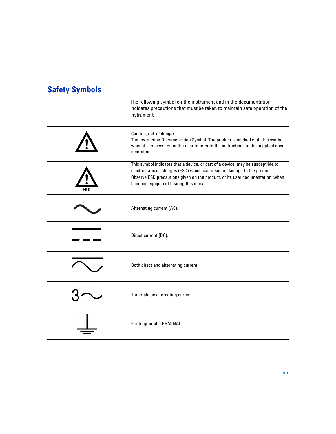# <span id="page-6-0"></span>**Safety Symbols**

The following symbol on the instrument and in the documentation indicates precautions that must be taken to maintain safe operation of the instrument.

|     | Caution, risk of danger.<br>The Instruction Documentation Symbol. The product is marked with this symbol<br>when it is necessary for the user to refer to the instructions in the supplied docu-<br>mentation.                                                                         |
|-----|----------------------------------------------------------------------------------------------------------------------------------------------------------------------------------------------------------------------------------------------------------------------------------------|
| ESD | This symbol indicates that a device, or part of a device, may be susceptible to<br>electrostatic discharges (ESD) which can result in damage to the product.<br>Observe ESD precautions given on the product, or its user documentation, when<br>handling equipment bearing this mark. |
|     | Alternating current (AC).                                                                                                                                                                                                                                                              |
|     | Direct current (DC).                                                                                                                                                                                                                                                                   |
|     | Both direct and alternating current.                                                                                                                                                                                                                                                   |
|     | Three-phase alternating current.                                                                                                                                                                                                                                                       |
|     | Earth (ground) TERMINAL.                                                                                                                                                                                                                                                               |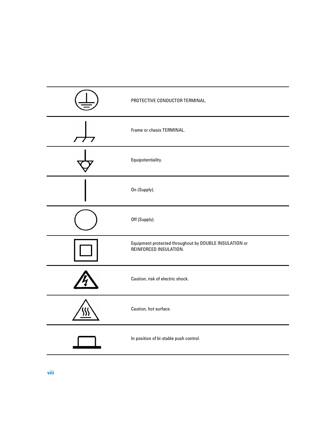| PROTECTIVE CONDUCTOR TERMINAL.                                                   |  |  |
|----------------------------------------------------------------------------------|--|--|
| Frame or chasis TERMINAL.                                                        |  |  |
| Equipotentiality.                                                                |  |  |
| On (Supply).                                                                     |  |  |
| Off (Supply).                                                                    |  |  |
| Equipment protected throughout by DOUBLE INSULATION or<br>REINFORCED INSULATION. |  |  |
| Caution, risk of electric shock.                                                 |  |  |
| Caution, hot surface.                                                            |  |  |
| In position of bi-stable push control.                                           |  |  |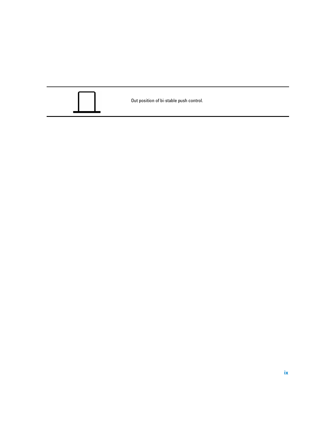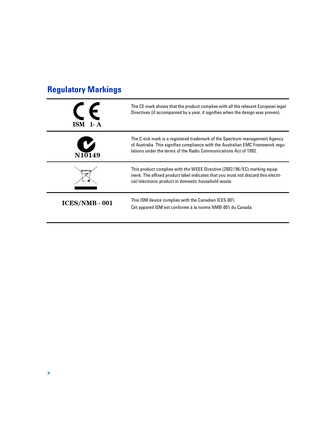# <span id="page-9-0"></span>**Regulatory Markings**

| $ISM$ 1-A               | The CE mark shows that the product complies with all the relevant European legal<br>Directives (if accompanied by a year, it signifies when the design was proven).                                                                |
|-------------------------|------------------------------------------------------------------------------------------------------------------------------------------------------------------------------------------------------------------------------------|
| L<br>N <sub>10149</sub> | The C-tick mark is a registered trademark of the Spectrum management Agency<br>of Australia. This signifies compliance with the Australian EMC Framework regu-<br>lations under the terms of the Radio Communications Act of 1992. |
|                         | This product complies with the WEEE Directive (2002/96/EC) marking equip-<br>ment. The affixed product label indicates that you must not discard this electri-<br>cal/electronic product in domestic household waste.              |
| <b>ICES/NMB - 001</b>   | This ISM device complies with the Canadian ICES-001,<br>Cet appareil ISM est conforme à la norme NMB-001 du Canada.                                                                                                                |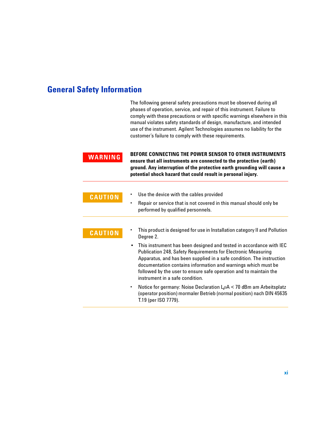# <span id="page-10-0"></span>**General Safety Information**

The following general safety precautions must be observed during all phases of operation, service, and repair of this instrument. Failure to comply with these precautions or with specific warnings elsewhere in this manual violates safety standards of design, manufacture, and intended use of the instrument. Agilent Technologies assumes no liability for the customer's failure to comply with these requirements.

| WARNING        | BEFORE CONNECTING THE POWER SENSOR TO OTHER INSTRUMENTS<br>ensure that all instruments are connected to the protective (earth)<br>ground. Any interruption of the protective earth grounding will cause a<br>potential shock hazard that could result in personal injury.                                                                                                                                  |
|----------------|------------------------------------------------------------------------------------------------------------------------------------------------------------------------------------------------------------------------------------------------------------------------------------------------------------------------------------------------------------------------------------------------------------|
| <b>CAUTION</b> | Use the device with the cables provided<br>Repair or service that is not covered in this manual should only be<br>performed by qualified personnels.                                                                                                                                                                                                                                                       |
| <b>CAUTION</b> | This product is designed for use in Installation category II and Pollution<br>Degree 2.                                                                                                                                                                                                                                                                                                                    |
|                | This instrument has been designed and tested in accordance with IEC<br>$\bullet$<br><b>Publication 248, Safety Requirements for Electronic Measuring</b><br>Apparatus, and has been supplied in a safe condition. The instruction<br>documentation contains information and warnings which must be<br>followed by the user to ensure safe operation and to maintain the<br>instrument in a safe condition. |
|                | Notice for germany: Noise Declaration $L\rho A < 70$ dBm am Arbeitsplatz<br>$\bullet$<br>(operator position) mormaler Betrieb (normal position) nach DIN 45635<br>T.19 (per ISO 7779).                                                                                                                                                                                                                     |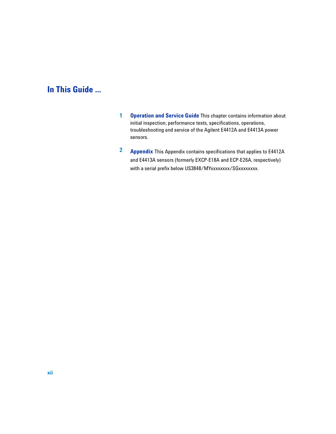# <span id="page-11-0"></span>**In This Guide ...**

- **1 [Operation and Service Guide](#page-16-0)** This chapter contains information about initial inspection, performance tests, specifications, operations, troubleshooting and service of the Agilent E4412A and E4413A power sensors.
- **2 [Appendix](#page-40-0)** This Appendix contains specifications that applies to E4412A and E4413A sensors (formerly EXCP-E18A and ECP-E26A, respectively) with a serial prefix below US3848/MYxxxxxxxx/SGxxxxxxxx.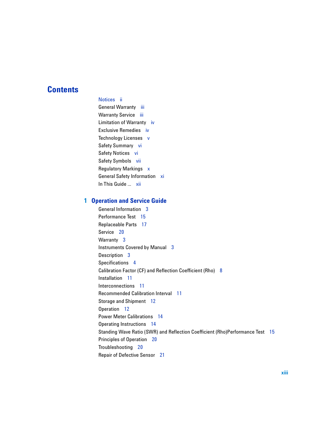# **Contents**

#### [Notices](#page-1-0) ii

[General Warranty](#page-2-0) iii [Warranty Service](#page-2-1) iii [Limitation of Warranty](#page-3-0) iv [Exclusive Remedies](#page-3-1) iv [Technology Licenses](#page-4-0) v [Safety Summary](#page-5-0) vi [Safety Notices](#page-5-1) vi [Safety Symbols](#page-6-0) vii [Regulatory Markings](#page-9-0) x [General Safety Information](#page-10-0) xi [In This Guide ...](#page-11-0) xii

## **[1 Operation and Service Guide](#page-16-0)**

[General Information](#page-18-1) 3 [Performance Test](#page-30-0) 15 [Replaceable Parts](#page-32-0) 17 [Service](#page-35-0) 20 [Warranty](#page-18-0) 3 [Instruments Covered by Manual](#page-18-2) 3 [Description](#page-18-3) 3 [Specifications](#page-19-0) 4 [Calibration Factor \(CF\) and Reflection Coefficient \(Rho\)](#page-23-0) 8 [Installation](#page-26-0) 11 [Interconnections](#page-26-1) 11 [Recommended Calibration Interval](#page-26-2) 11 [Storage and Shipment](#page-27-0) 12 [Operation](#page-27-1) 12 [Power Meter Calibrations](#page-29-0) 14 [Operating Instructions](#page-29-1) 14 [Standing Wave Ratio \(SWR\) and Reflection Coefficient \(Rho\)Performance Test](#page-30-1) 15 [Principles of Operation](#page-35-1) 20 [Troubleshooting](#page-35-2) 20 [Repair of Defective Sensor](#page-36-0) 21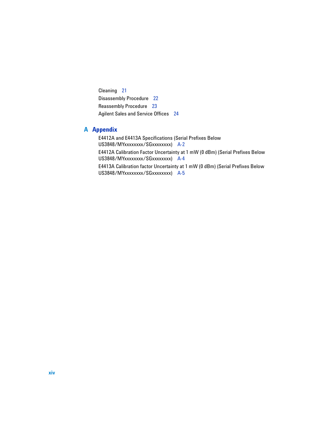[Cleaning](#page-36-1) 21 [Disassembly Procedure](#page-37-0) 22 [Reassembly Procedure](#page-38-0) 23 [Agilent Sales and Service Offices](#page-39-0) 24

## **[A Appendix](#page-40-0)**

[E4412A and E4413A Specifications \(Serial Prefixes Below](#page-41-0)  [US3848/MYxxxxxxxx/SGxxxxxxxx\)](#page-41-0) A-2 [E4412A Calibration Factor Uncertainty at 1 mW \(0 dBm\) \(Serial Prefixes Below](#page-43-0)  [US3848/MYxxxxxxxx/SGxxxxxxxx\)](#page-43-0) A-4 [E4413A Calibration factor Uncertainty at 1 mW \(0 dBm\) \(Serial Prefixes Below](#page-44-0)  US3848/MYxxxxxxx/SGxxxxxxxxx) A-5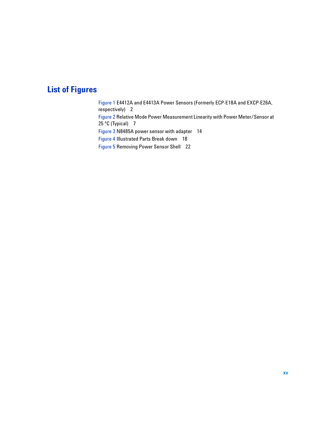# **List of Figures**

[Figure 1 E4412A and E4413A Power Sensors \(Formerly ECP-E18A and EXCP-E26A,](#page-17-0)  [respectively\) 2](#page-17-0) [Figure 2 Relative Mode Power Measurement Linearity with Power Meter/Sensor at](#page-22-0)  [25 ºC \(Typical\) 7](#page-22-0) [Figure 3 N8485A power sensor with adapter 14](#page-29-2) [Figure 4 Illustrated Parts Break down 18](#page-33-0) [Figure 5 Removing Power Sensor Shell 22](#page-37-1)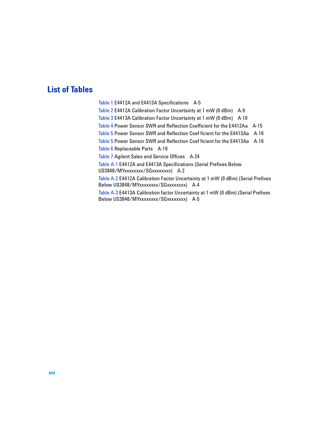# **List of Tables**

[Table 1 E4412A and E4413A Specifications A-5](#page-20-0) [Table 2 E4412A Calibration Factor Uncertainty at 1 mW \(0 dBm\) A-9](#page-24-0) [Table 3 E4413A Calibration Factor Uncertainty at 1 mW \(0 dBm\) A-10](#page-25-0) [Table 4 Power Sensor SWR and Reflection Coefficient for the E4412Aa A-15](#page-30-2) [Table 5 Power Sensor SWR and Reflection Coef ficient for the E4413Aa A-16](#page-31-0) [Table 5 Power Sensor SWR and Reflection Coef ficient for the E4413Aa A-16](#page-31-0) [Table 6 Replaceable Parts A-19](#page-34-0) [Table 7 Agilent Sales and Service Offices A-24](#page-39-1) [Table A-1 E4412A and E4413A Specifications \(Serial Prefixes Below](#page-41-0)  [US3848/MYxxxxxxxx/SGxxxxxxxx\) A-2](#page-41-0) [Table A-2 E4412A Calibration Factor Uncertainty at 1 mW \(0 dBm\) \(Serial Prefixes](#page-43-0)  Below US3848/MYxxxxxxx/SGxxxxxxxx) A-4 [Table A-3 E4413A Calibration factor Uncertainty at 1 mW \(0 dBm\) \(Serial Prefixes](#page-44-0)  Below US3848/MYxxxxxxx/SGxxxxxxxx) A-5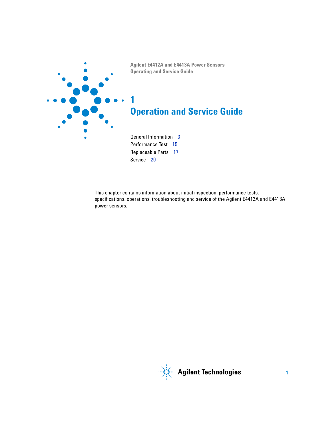

**Agilent E4412A and E4413A Power Sensors Operating and Service Guide**

# <span id="page-16-0"></span>**Operation and Service Guide**

[General Information](#page-18-4) 3 [Performance Test](#page-30-3) 15 [Replaceable Parts](#page-32-1) 17 [Service](#page-35-3) 20

This chapter contains information about initial inspection, performance tests, specifications, operations, troubleshooting and service of the Agilent E4412A and E4413A power sensors.

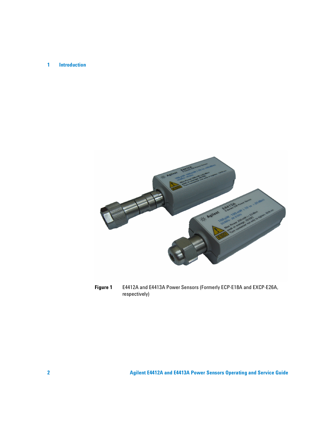

**Figure 1** E4412A and E4413A Power Sensors (Formerly ECP-E18A and EXCP-E26A, respectively)

<span id="page-17-0"></span>**2 Agilent E4412A and E4413A Power Sensors Operating and Service Guide**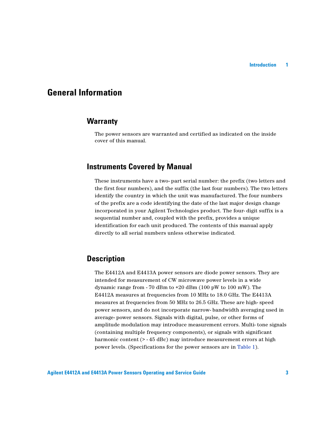# <span id="page-18-4"></span><span id="page-18-1"></span>**General Information**

## <span id="page-18-0"></span>**Warranty**

The power sensors are warranted and certified as indicated on the inside cover of this manual.

# <span id="page-18-2"></span>**Instruments Covered by Manual**

These instruments have a two- part serial number: the prefix (two letters and the first four numbers), and the suffix (the last four numbers). The two letters identify the country in which the unit was manufactured. The four numbers of the prefix are a code identifying the date of the last major design change incorporated in your Agilent Technologies product. The four- digit suffix is a sequential number and, coupled with the prefix, provides a unique identification for each unit produced. The contents of this manual apply directly to all serial numbers unless otherwise indicated.

# <span id="page-18-3"></span>**Description**

The E4412A and E4413A power sensors are diode power sensors. They are intended for measurement of CW microwave power levels in a wide dynamic range from - 70 dBm to +20 dBm (100 pW to 100 mW). The E4412A measures at frequencies from 10 MHz to 18.0 GHz. The E4413A measures at frequencies from 50 MHz to 26.5 GHz. These are high- speed power sensors, and do not incorporate narrow- bandwidth averaging used in average- power sensors. Signals with digital, pulse, or other forms of amplitude modulation may introduce measurement errors. Multi- tone signals (containing multiple frequency components), or signals with significant harmonic content (> - 45 dBc) may introduce measurement errors at high power levels. (Specifications for the power sensors are in [Table 1](#page-20-1)).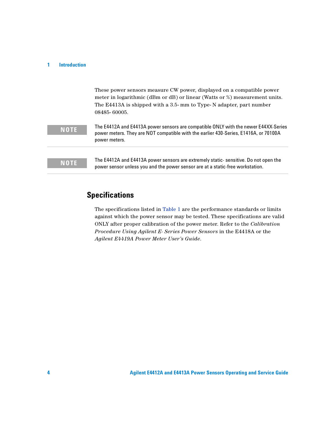These power sensors measure CW power, displayed on a compatible power meter in logarithmic (dBm or dB) or linear (Watts or %) measurement units. The E4413A is shipped with a 3.5- mm to Type- N adapter, part number 08485- 60005.

**NOTE** The E4412A and E4413A power sensors are compatible ONLY with the newer E44XX-Series<br>
NOTE TABLE 2019A power meters. They are NOT compatible with the earlier 430-Series, E1416A, or 70100A power meters.

**NOTE** The E4412A and E4413A power sensors are extremely static- sensitive. Do not open the power sensor unless you and the power sensor are at a static-free workstation.

# <span id="page-19-0"></span>**Specifications**

The specifications listed in [Table 1](#page-20-1) are the performance standards or limits against which the power sensor may be tested. These specifications are valid ONLY after proper calibration of the power meter. Refer to the *Calibration Procedure Using Agilent E- Series Power Sensors* in the E4418A or the *Agilent E4419A Power Meter User's Guide*.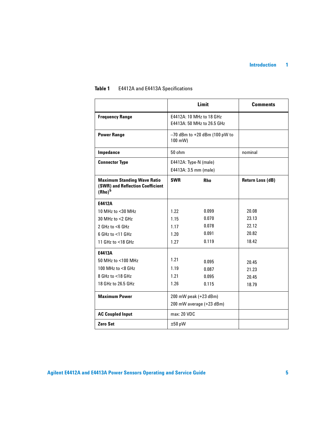|                                                                                     | <b>Limit</b>                                           |       | <b>Comments</b>         |
|-------------------------------------------------------------------------------------|--------------------------------------------------------|-------|-------------------------|
| <b>Frequency Range</b>                                                              | E4412A: 10 MHz to 18 GHz<br>E4413A: 50 MHz to 26.5 GHz |       |                         |
| <b>Power Range</b>                                                                  | $-70$ dBm to $+20$ dBm (100 pW to<br>100 mW)           |       |                         |
| Impedance                                                                           | 50 ohm                                                 |       | nominal                 |
| <b>Connector Type</b>                                                               | E4412A: Type-N (male)<br>E4413A: 3.5 mm (male)         |       |                         |
| <b>Maximum Standing Wave Ratio</b><br>(SWR) and Reflection Coefficient<br>$(Rho)^b$ | <b>SWR</b>                                             | Rho   | <b>Return Loss (dB)</b> |
| E4412A                                                                              |                                                        |       |                         |
| 10 MHz to <30 MHz                                                                   | 1.22                                                   | 0.099 | 20.08                   |
| $30$ MHz to $<$ 2 GHz                                                               | 1.15                                                   | 0.070 | 23.13                   |
| 2 $GHz$ to $< 6$ $GHz$                                                              | 1.17                                                   | 0.078 | 22.12                   |
| $6 GHz$ to $<$ 11 GHz                                                               | 1.20                                                   | 0.091 | 20.82                   |
| 11 GHz to <18 GHz                                                                   | 1.27                                                   | 0.119 | 18.42                   |
| E4413A                                                                              |                                                        |       |                         |
| 50 MHz to <100 MHz                                                                  | 1.21                                                   | 0.095 | 20.45                   |
| 100 MHz to $< 8$ GHz                                                                | 1.19                                                   | 0.087 | 21.23                   |
| 8 GHz to <18 GHz                                                                    | 1.21                                                   | 0.095 | 20.45                   |
| 18 GHz to 26.5 GHz                                                                  | 1.26                                                   | 0.115 | 18.79                   |
| <b>Maximum Power</b><br>200 mW peak (+23 dBm)<br>200 mW average (+23 dBm)           |                                                        |       |                         |
| <b>AC Coupled Input</b>                                                             | max: 20 VDC                                            |       |                         |
| <b>Zero Set</b>                                                                     | ±50pW                                                  |       |                         |

### <span id="page-20-1"></span><span id="page-20-0"></span>**Table 1** E4412A and E4413A Specifications

**Agilent E4412A and E4413A Power Sensors Operating and Service Guide 5**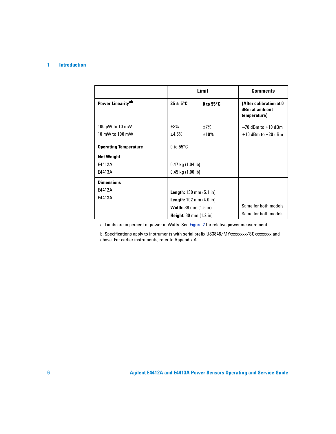|                               | <b>Limit</b>                                           |                                          | <b>Comments</b>                                           |
|-------------------------------|--------------------------------------------------------|------------------------------------------|-----------------------------------------------------------|
| Power Linearity <sup>ab</sup> | $25 \pm 5^{\circ}$ C                                   | 0 to $55^{\circ}$ C                      | (After calibration at 0<br>dBm at ambient<br>temperature) |
| 100 pW to 10 mW               | $+3%$                                                  | ±7%                                      | $-70$ dBm to $+10$ dBm                                    |
| 10 mW to 100 mW               | ±4.5%                                                  | ±10%                                     | $+10$ dBm to $+20$ dBm                                    |
| <b>Operating Temperature</b>  | 0 to $55^{\circ}$ C                                    |                                          |                                                           |
| <b>Net Weight</b>             |                                                        |                                          |                                                           |
| E4412A                        | 0.47 kg (1.04 lb)                                      |                                          |                                                           |
| E4413A                        | $0.45$ kg $(1.00$ lb)                                  |                                          |                                                           |
| <b>Dimensions</b>             |                                                        |                                          |                                                           |
| E4412A                        |                                                        | <b>Length:</b> 130 mm $(5.1 \text{ in})$ |                                                           |
| E4413A                        | <b>Length:</b> $102 \, \text{mm}$ $(4.0 \, \text{in})$ |                                          |                                                           |
|                               | <b>Width:</b> 38 mm (1.5 in)                           |                                          | Same for both models                                      |
|                               | Height: 30 mm (1.2 in)                                 |                                          | Same for both models                                      |

a. Limits are in percent of power in Watts. See [Figure 2](#page-22-1) for relative power measurement.

b. Specifications apply to instruments with serial prefix US3848/MYxxxxxxxx/SGxxxxxxxx and above. For earlier instruments, refer to Appendix A.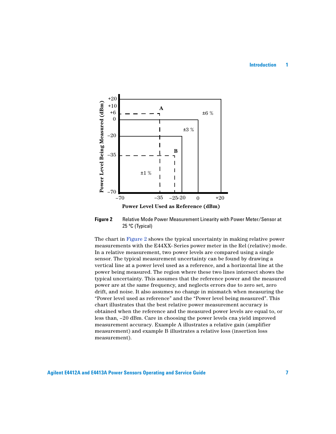

<span id="page-22-1"></span><span id="page-22-0"></span>**Figure 2** Relative Mode Power Measurement Linearity with Power Meter/Sensor at 25 ºC (Typical)

The chart in [Figure 2](#page-22-1) shows the typical uncertainty in making relative power measurements with the E44XX- Series power meter in the Rel (relative) mode. In a relative measurement, two power levels are compared using a single sensor. The typical measurement uncertainty can be found by drawing a vertical line at a power level used as a reference, and a horizontal line at the power being measured. The region where these two lines intersect shows the typical uncertainty. This assumes that the reference power and the measured power are at the same frequency, and neglects errors due to zero set, zero drift, and noise. It also assumes no change in mismatch when measuring the "Power level used as reference" and the "Power level being measured". This chart illustrates that the best relative power measurement accuracy is obtained when the reference and the measured power levels are equal to, or less than, –20 dBm. Care in choosing the power levels cna yield improved measurement accuracy. Example A illustrates a relative gain (amplifier measurement) and example B illustrates a relative loss (insertion loss measurement).

**Agilent E4412A and E4413A Power Sensors Operating and Service Guide 7**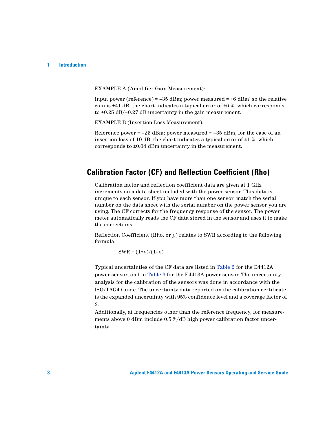EXAMPLE A (Amplifier Gain Measurement):

Input power (reference) =  $-35$  dBm; power measured =  $+6$  dBm' so the relative gain is  $+41$  dB. the chart indicates a typical error of  $\pm 6$  %, which corresponds to +0.25 dB/–0.27 dB uncertainty in the gain measurement.

EXAMPLE B (Insertion Loss Measurement):

Reference power  $= -25$  dBm; power measured  $= -35$  dBm, for the case of an insertion loss of 10 dB, the chart indicates a typical error of  $\pm 1$  %, which corresponds to ±0.04 dBm uncertainty in the measurement.

# <span id="page-23-0"></span>**Calibration Factor (CF) and Reflection Coefficient (Rho)**

Calibration factor and reflection coefficient data are given at 1 GHz increments on a data sheet included with the power sensor. This data is unique to each sensor. If you have more than one sensor, match the serial number on the data sheet with the serial number on the power sensor you are using. The CF corrects for the frequency response of the sensor. The power meter automatically reads the CF data stored in the sensor and uses it to make the corrections.

Reflection Coefficient (Rho, or  $\rho$ ) relates to SWR according to the following formula:

$$
\text{SWR} = (1+\rho)/(1-\rho)
$$

Typical uncertainties of the CF data are listed in [Table 2](#page-24-1) for the E4412A power sensor, and in [Table 3](#page-25-1) for the E4413A power sensor. The uncertainty analysis for the calibration of the sensors was done in accordance with the ISO/TAG4 Guide. The uncertainty data reported on the calibration certificate is the expanded uncertainty with 95% confidence level and a coverage factor of 2.

Additionally, at frequencies other than the reference frequency, for measurements above 0 dBm include 0.5 %/dB high power calibration factor uncertainty.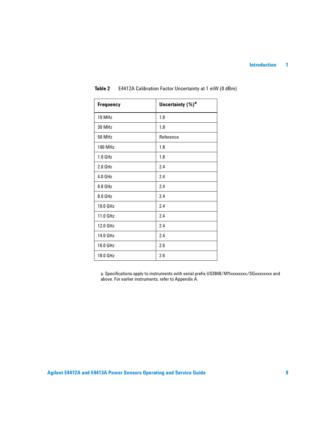| <b>Frequency</b>   | Uncertainty (%) <sup>a</sup> |
|--------------------|------------------------------|
| 10 MHz             | 1.8                          |
| <b>30 MHz</b>      | 1.8                          |
| <b>50 MHz</b>      | Reference                    |
| <b>100 MHz</b>     | 1.8                          |
| 1.0 <sub>GHz</sub> | 1.8                          |
| 2.0 GHz            | 2.4                          |
| $4.0$ GHz          | 2.4                          |
| $6.0$ GHz          | 2.4                          |
| 8.0 GHz            | 2.4                          |
| 10.0 GHz           | 2.4                          |
| 11.0 GHz           | 2.4                          |
| 12.0 GHz           | 2.4                          |
| 14.0 GHz           | 2.4                          |
| 16.0 GHz           | 2.6                          |
| 18.0 GHz           | 2.6                          |

<span id="page-24-1"></span><span id="page-24-0"></span>**Table 2** E4412A Calibration Factor Uncertainty at 1 mW (0 dBm)

 $\blacksquare$ 

a. Specifications apply to instruments with serial prefix US3848/MYxxxxxxxx/SGxxxxxxxx and above. For earlier instruments, refer to Appendix A.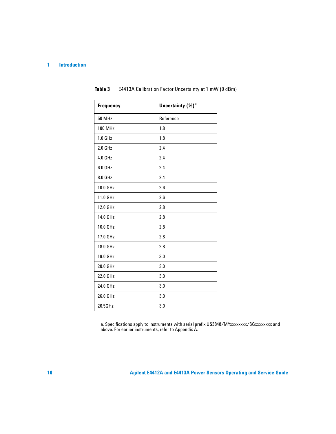| <b>Frequency</b> | Uncertainty (%) <sup>a</sup> |  |
|------------------|------------------------------|--|
| <b>50 MHz</b>    | Reference                    |  |
| <b>100 MHz</b>   | 1.8                          |  |
| 1.0 GHz          | 1.8                          |  |
| 2.0 GHz          | 2.4                          |  |
| 4.0 GHz          | 2.4                          |  |
| 6.0 GHz          | 2.4                          |  |
| 8.0 GHz          | 2.4                          |  |
| 10.0 GHz         | 2.6                          |  |
| 11.0 GHz         | 2.6                          |  |
| 12.0 GHz         | 2.8                          |  |
| 14.0 GHz         | 2.8                          |  |
| 16.0 GHz         | 2.8                          |  |
| 17.0 GHz         | 2.8                          |  |
| 18.0 GHz         | 2.8                          |  |
| 19.0 GHz         | 3.0                          |  |
| 20.0 GHz         | 3.0                          |  |
| 22.0 GHz         | 3.0                          |  |
| 24.0 GHz         | 3.0                          |  |
| 26.0 GHz         | 3.0                          |  |
| 26.5GHz          | 3.0                          |  |

### <span id="page-25-1"></span><span id="page-25-0"></span>**Table 3** E4413A Calibration Factor Uncertainty at 1 mW (0 dBm)

a. Specifications apply to instruments with serial prefix US3848/MYxxxxxxxx/SGxxxxxxxx and above. For earlier instruments, refer to Appendix A.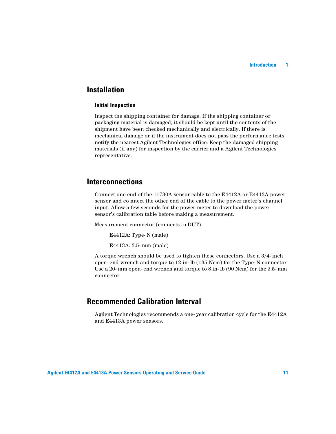# <span id="page-26-0"></span>**Installation**

#### **Initial Inspection**

Inspect the shipping container for damage. If the shipping container or packaging material is damaged, it should be kept until the contents of the shipment have been checked mechanically and electrically. If there is mechanical damage or if the instrument does not pass the performance tests, notify the nearest Agilent Technologies office. Keep the damaged shipping materials (if any) for inspection by the carrier and a Agilent Technologies representative.

## <span id="page-26-1"></span>**Interconnections**

Connect one end of the 11730A sensor cable to the E4412A or E4413A power sensor and co nnect the other end of the cable to the power meter's channel input. Allow a few seconds for the power meter to download the power sensor's calibration table before making a measurement.

Measurement connector (connects to DUT)

E4412A: Type- N (male)

E4413A: 3.5- mm (male)

A torque wrench should be used to tighten these connectors. Use a 3/4- inch open- end wrench and torque to 12 in- lb (135 Ncm) for the Type- N connector Use a 20- mm open- end wrench and torque to 8 in- lb (90 Ncm) for the 3.5- mm connector.

## <span id="page-26-2"></span>**Recommended Calibration Interval**

Agilent Technologies recommends a one- year calibration cycle for the E4412A and E4413A power sensors.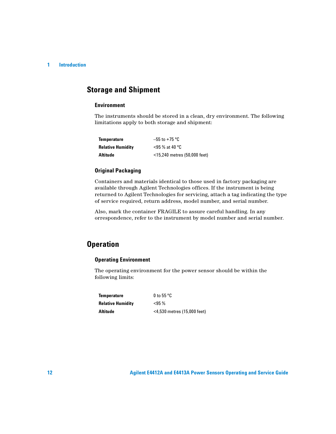# <span id="page-27-0"></span>**Storage and Shipment**

#### **Environment**

The instruments should be stored in a clean, dry environment. The following limitations apply to both storage and shipment:

| <b>Temperature</b>       | $-55$ to +75 °C                 |
|--------------------------|---------------------------------|
| <b>Relative Humidity</b> | $<$ 95 % at 40 °C               |
| Altitude                 | $<$ 15,240 metres (50,000 feet) |

#### **Original Packaging**

Containers and materials identical to those used in factory packaging are available through Agilent Technologies offices. If the instrument is being returned to Agilent Technologies for servicing, attach a tag indicating the type of service required, return address, model number, and serial number.

Also, mark the container FRAGILE to assure careful handling. In any orrespondence, refer to the instrument by model number and serial number.

# <span id="page-27-1"></span>**Operation**

### **Operating Environment**

The operating environment for the power sensor should be within the following limits:

| Temperature              | 0 to 55 $\degree$ C            |
|--------------------------|--------------------------------|
| <b>Relative Humidity</b> | $< 95 \%$                      |
| Altitude                 | $<$ 4,530 metres (15,000 feet) |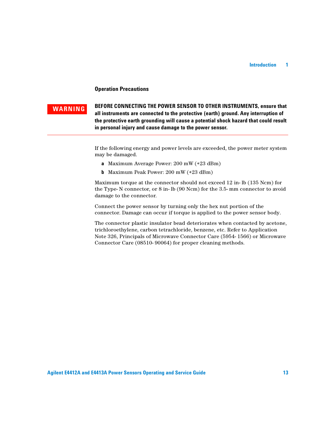#### **Operation Precautions**

**WARNING BEFORE CONNECTING THE POWER SENSOR TO OTHER INSTRUMENTS, ensure that all instruments are connected to the protective (earth) ground. Any interruption of the protective earth grounding will cause a potential shock hazard that could result in personal injury and cause damage to the power sensor.**

> If the following energy and power levels are exceeded, the power meter system may be damaged.

- **a** Maximum Average Power: 200 mW (+23 dBm)
- **b** Maximum Peak Power: 200 mW (+23 dBm)

Maximum torque at the connector should not exceed 12 in- lb (135 Ncm) for the Type- N connector, or 8 in- lb (90 Ncm) for the 3.5- mm connector to avoid damage to the connector.

Connect the power sensor by turning only the hex nut portion of the connector. Damage can occur if torque is applied to the power sensor body.

The connector plastic insulator bead deteriorates when contacted by acetone, trichloroethylene, carbon tetrachloride, benzene, etc. Refer to Application Note 326, Principals of Microwave Connector Care (5954- 1566) or Microwave Connector Care (08510- 90064) for proper cleaning methods.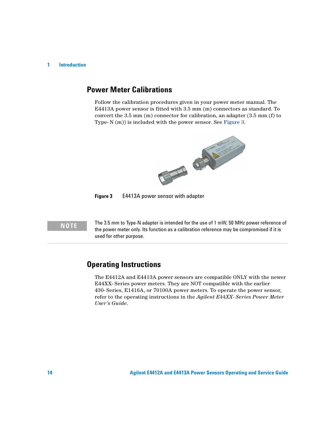# <span id="page-29-0"></span>**Power Meter Calibrations**

Follow the calibration procedures given in your power meter manual. The E4413A power sensor is fitted with 3.5 mm (m) connectors as standard. To convert the 3.5 mm (m) connector for calibration, an adapter (3.5 mm (f) to Type- N (m)) is included with the power sensor. See [Figure 3](#page-29-3).



<span id="page-29-3"></span><span id="page-29-2"></span>

**NOTE** The 3.5 mm to Type-N adapter is intended for the use of 1 mW, 50 MHz power reference of the power meter only. Its function as a calibration reference may be compromised if it is used for other purpose.

# <span id="page-29-1"></span>**Operating Instructions**

The E4412A and E4413A power sensors are compatible ONLY with the newer E44XX- Series power meters. They are NOT compatible with the earlier 430- Series, E1416A, or 70100A power meters. To operate the power sensor, refer to the operating instructions in the *Agilent E44XX- Series Power Meter User's Guide*.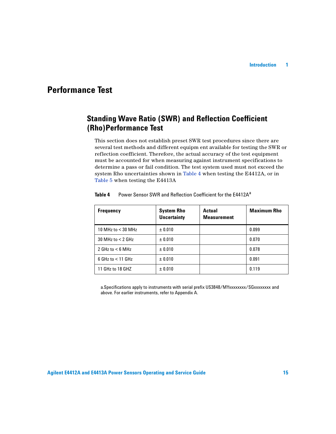# <span id="page-30-3"></span><span id="page-30-0"></span>**Performance Test**

# <span id="page-30-1"></span>**Standing Wave Ratio (SWR) and Reflection Coefficient (Rho)Performance Test**

This section does not establish preset SWR test procedures since there are several test methods and different equipm ent available for testing the SWR or reflection coefficient. Therefore, the actual accuracy of the test equipment must be accounted for when measuring against instrument specifications to determine a pass or fail condition. The test system used must not exceed the system Rho uncertainties shown in [Table 4](#page-30-4) when testing the E4412A, or in [Table 5](#page-31-1) when testing the E4413A

| <b>Frequency</b>     | <b>System Rho</b><br><b>Uncertainty</b> | Actual<br><b>Measurement</b> | <b>Maximum Rho</b> |
|----------------------|-----------------------------------------|------------------------------|--------------------|
| 10 MHz to $<$ 30 MHz | ± 0.010                                 |                              | 0.099              |
| 30 MHz to $<$ 2 GHz  | ± 0.010                                 |                              | 0.070              |
| 2 GHz to $< 6$ MHz   | ± 0.010                                 |                              | 0.078              |
| 6 GHz to $<$ 11 GHz  | ± 0.010                                 |                              | 0.091              |
| 11 GHz to 18 GHZ     | ± 0.010                                 |                              | 0.119              |

<span id="page-30-4"></span><span id="page-30-2"></span>**Table 4** Power Sensor SWR and Reflection Coefficient for the E4412A<sup>a</sup>

a.Specifications apply to instruments with serial prefix US3848/MYxxxxxxxx/SGxxxxxxxx and above. For earlier instruments, refer to Appendix A.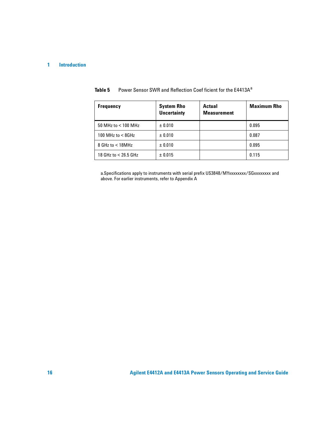| <b>Frequency</b>     | <b>System Rho</b><br><b>Uncertainty</b> | Actual<br><b>Measurement</b> | <b>Maximum Rho</b> |
|----------------------|-----------------------------------------|------------------------------|--------------------|
| 50 MHz to < 100 MHz  | ± 0.010                                 |                              | 0.095              |
| 100 MHz to $< 8$ GHz | ± 0.010                                 |                              | 0.087              |
| 8 GHz to $<$ 18 MHz  | ± 0.010                                 |                              | 0.095              |
| 18 GHz to < 26.5 GHz | ± 0.015                                 |                              | 0.115              |

<span id="page-31-1"></span><span id="page-31-0"></span>

| Table 5 | Power Sensor SWR and Reflection Coef ficient for the E4413A <sup>a</sup> |
|---------|--------------------------------------------------------------------------|
|         |                                                                          |

a.Specifications apply to instruments with serial prefix US3848/MYxxxxxxxx/SGxxxxxxxx and above. For earlier instruments, refer to Appendix A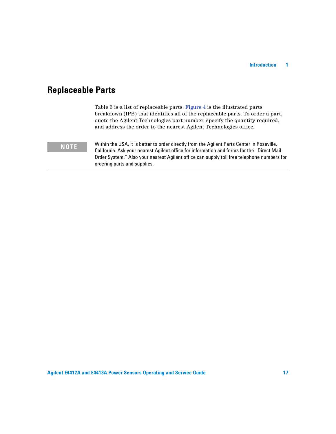# <span id="page-32-1"></span><span id="page-32-0"></span>**Replaceable Parts**

Table 6 is a list of replaceable parts. [Figure 4](#page-33-1) is the illustrated parts breakdown (IPB) that identifies all of the replaceable parts. To order a part, quote the Agilent Technologies part number, specify the quantity required, and address the order to the nearest Agilent Technologies office.

**NOTE** Within the USA, it is better to order directly from the Agilent Parts Center in Roseville, California. Ask your nearest Agilent office for information and forms for the "Direct Mail Order System." Also your nearest Agilent office can supply toll free telephone numbers for ordering parts and supplies.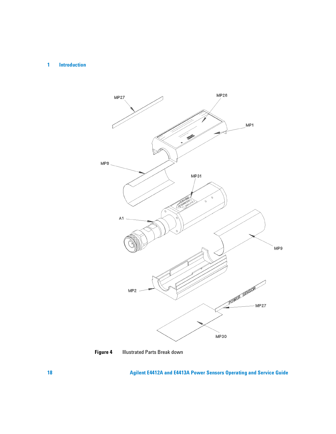

<span id="page-33-1"></span><span id="page-33-0"></span>

**18 Agilent E4412A and E4413A Power Sensors Operating and Service Guide**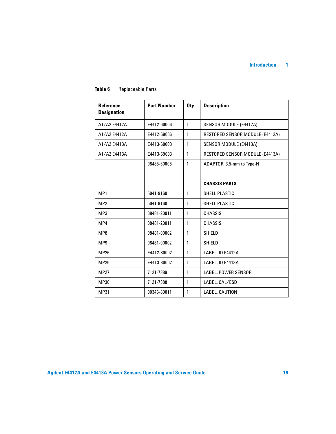| <b>Reference</b><br><b>Designation</b> | <b>Part Number</b> | <b>Qty</b>   | <b>Description</b>              |
|----------------------------------------|--------------------|--------------|---------------------------------|
| A1/A2 E4412A                           | E4412-60006        | $\mathbf{1}$ | SENSOR MODULE (E4412A)          |
| A1/A2 E4412A                           | E4412-69006        | $\mathbf{1}$ | RESTORED SENSOR MODULE (E4412A) |
| A1/A2 E4413A                           | E4413-60003        | 1            | SENSOR MODULE (E4413A)          |
| A1/A2 E4413A                           | E4413-69003        | 1            | RESTORED SENSOR MODULE (E4413A) |
|                                        | 08485-60005        | $\mathbf{1}$ | ADAPTOR, 3.5-mm to Type-N       |
|                                        |                    |              |                                 |
|                                        |                    |              | <b>CHASSIS PARTS</b>            |
| MP1                                    | 5041-9160          | $\mathbf{1}$ | SHELL PLASTIC                   |
| MP <sub>2</sub>                        | 5041-9160          | $\mathbf{1}$ | SHELL PLASTIC                   |
| MP3                                    | 08481-20011        | 1            | CHASSIS                         |
| MP4                                    | 08481-20011        | $\mathbf{1}$ | CHASSIS                         |
| MP8                                    | 08481-00002        | $\mathbf{1}$ | <b>SHIELD</b>                   |
| MP <sub>9</sub>                        | 08481-00002        | $\mathbf{1}$ | <b>SHIELD</b>                   |
| <b>MP26</b>                            | E4412-80002        | 1            | LABEL, ID E4412A                |
| <b>MP26</b>                            | E4413-80002        | 1            | LABEL, ID E4413A                |
| <b>MP27</b>                            | 7121-7389          | 1            | <b>LABEL, POWER SENSOR</b>      |
| MP30                                   | 7121-7388          | 1            | LABEL, CAL/ESD                  |
| <b>MP31</b>                            | 00346-80011        | 1            | LABEL, CAUTION                  |

## <span id="page-34-1"></span><span id="page-34-0"></span>**Table 6** Replaceable Parts

**Agilent E4412A and E4413A Power Sensors Operating and Service Guide 19**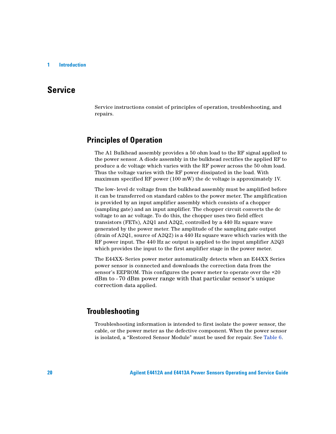# <span id="page-35-3"></span><span id="page-35-0"></span>**Service**

Service instructions consist of principles of operation, troubleshooting, and repairs.

## <span id="page-35-1"></span>**Principles of Operation**

The A1 Bulkhead assembly provides a 50 ohm load to the RF signal applied to the power sensor. A diode assembly in the bulkhead rectifies the applied RF to produce a dc voltage which varies with the RF power across the 50 ohm load. Thus the voltage varies with the RF power dissipated in the load. With maximum specified RF power (100 mW) the dc voltage is approximately 1V.

The low- level dc voltage from the bulkhead assembly must be amplified before it can be transferred on standard cables to the power meter. The amplification is provided by an input amplifier assembly which consists of a chopper (sampling gate) and an input amplifier. The chopper circuit converts the dc voltage to an ac voltage. To do this, the chopper uses two field effect transistors (FETs), A2Q1 and A2Q2, controlled by a 440 Hz square wave generated by the power meter. The amplitude of the sampling gate output (drain of A2Q1, source of A2Q2) is a 440 Hz square wave which varies with the RF power input. The 440 Hz ac output is applied to the input amplifier A2Q3 which provides the input to the first amplifier stage in the power meter.

The E44XX- Series power meter automatically detects when an E44XX Series power sensor is connected and downloads the correction data from the sensor's EEPROM. This configures the power meter to operate over the +20 dBm to - 70 dBm power range with that particular sensor's unique correction data applied.

# <span id="page-35-2"></span>**Troubleshooting**

Troubleshooting information is intended to first isolate the power sensor, the cable, or the power meter as the defective component. When the power sensor is isolated, a "Restored Sensor Module" must be used for repair. See [Table 6](#page-34-1).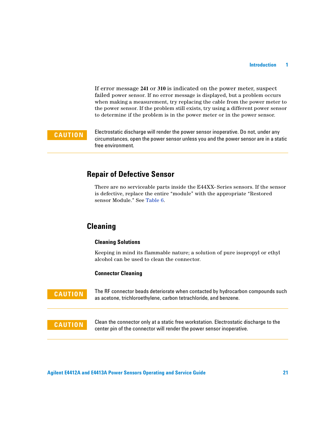If error message **241** or **310** is indicated on the power meter, suspect failed power sensor. If no error message is displayed, but a problem occurs when making a measurement, try replacing the cable from the power meter to the power sensor. If the problem still exists, try using a different power sensor to determine if the problem is in the power meter or in the power sensor.

**CAUTION** Electrostatic discharge will render the power sensor inoperative. Do not, under any circumstances, open the power sensor unless you and the power sensor are in a static free environment.

## <span id="page-36-0"></span>**Repair of Defective Sensor**

There are no serviceable parts inside the E44XX- Series sensors. If the sensor is defective, replace the entire "module" with the appropriate "Restored sensor Module." See [Table 6](#page-34-1).

# <span id="page-36-1"></span>**Cleaning**

#### **Cleaning Solutions**

Keeping in mind its flammable nature; a solution of pure isopropyl or ethyl alcohol can be used to clean the connector.

#### **Connector Cleaning**

**CAUTION** The RF connector beads deteriorate when contacted by hydrocarbon compounds such as acetone, trichloroethylene, carbon tetrachloride, and benzene.

**CAUTION** Clean the connector only at a static free workstation. Electrostatic discharge to the center pin of the connector will render the power sensor inoperative.

**Agilent E4412A and E4413A Power Sensors Operating and Service Guide 21**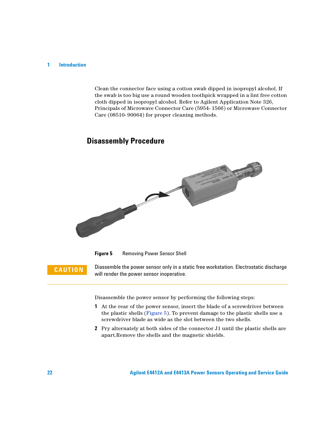Clean the connector face using a cotton swab dipped in isopropyl alcohol. If the swab is too big use a round wooden toothpick wrapped in a lint free cotton cloth dipped in isopropyl alcohol. Refer to Agilent Application Note 326, Principals of Microwave Connector Care (5954- 1566) or Microwave Connector Care (08510- 90064) for proper cleaning methods.

# <span id="page-37-0"></span>**Disassembly Procedure**



<span id="page-37-2"></span><span id="page-37-1"></span>

**CAUTION** Diassemble the power sensor only in a static free workstation. Electrostatic discharge will render the power sensor inoperative.

Disassemble the power sensor by performing the following steps:

- **1** At the rear of the power sensor, insert the blade of a screwdriver between the plastic shells ([Figure 5](#page-37-2)). To prevent damage to the plastic shells use a screwdriver blade as wide as the slot between the two shells.
- **2** Pry alternately at both sides of the connector J1 until the plastic shells are apart.Remove the shells and the magnetic shields.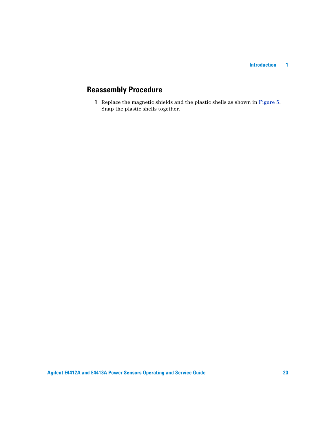# <span id="page-38-0"></span>**Reassembly Procedure**

**1** Replace the magnetic shields and the plastic shells as shown in [Figure 5](#page-37-2). Snap the plastic shells together.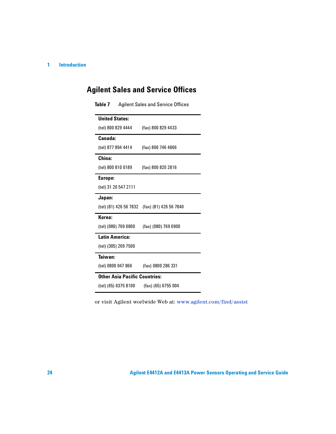# <span id="page-39-0"></span>**Agilent Sales and Service Offices**

<span id="page-39-1"></span>

| Table 7<br><b>Agilent Sales and Service Offices</b> |                                      |                                               |
|-----------------------------------------------------|--------------------------------------|-----------------------------------------------|
| <b>United States:</b>                               |                                      |                                               |
|                                                     | (tel) 800 829 4444                   | (fax) 800 829 4433                            |
| Canada:                                             |                                      |                                               |
|                                                     | (tel) 877 894 4414                   | (fax) 800 746 4866                            |
| China:                                              |                                      |                                               |
|                                                     | (tel) 800 810 0189                   | (fax) 800 820 2816                            |
| Europe:                                             |                                      |                                               |
|                                                     | (tel) 31 20 547 2111                 |                                               |
| Japan:                                              |                                      |                                               |
|                                                     |                                      | (tel) (81) 426 56 7832 (fax) (81) 426 56 7840 |
| Korea:                                              |                                      |                                               |
|                                                     | (tel) (080) 769 0800                 | (fax) (080) 769 0900                          |
| <b>Latin America:</b>                               |                                      |                                               |
|                                                     | (tel) (305) 269 7500                 |                                               |
| Taiwan:                                             |                                      |                                               |
|                                                     | (tel) 0800 047 866                   | (fax) 0800 286 331                            |
|                                                     | <b>Other Asia Pacific Countries:</b> |                                               |
|                                                     | (tel) (65) 6375 8100                 | (fax) (65) 6755 004                           |

[or visit Agilent worlwide Web at:](http://www.agilent.com/find/assist) www.agilent.com/find/assist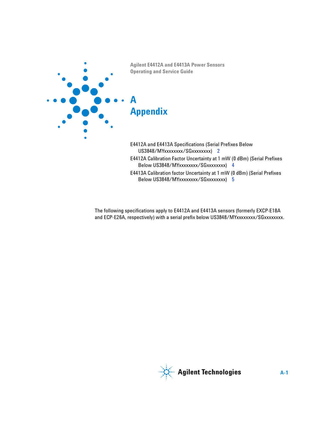

**Agilent E4412A and E4413A Power Sensors Operating and Service Guide**

# <span id="page-40-0"></span>**Appendix**

- [E4412A and E4413A Specifications \(Serial Prefixes Below](#page-41-1)  US3848/MYxxxxxxx/SGxxxxxxxxx) 2 [E4412A Calibration Factor Uncertainty at 1 mW \(0 dBm\) \(Serial Prefixes](#page-43-1)
- Below US3848/MYxxxxxxx/SGxxxxxxxx) 4 [E4413A Calibration factor Uncertainty at 1 mW \(0 dBm\) \(Serial Prefixes](#page-44-1) 
	- Below US3848/MYxxxxxxx/SGxxxxxxxx) 5

The following specifications apply to E4412A and E4413A sensors (formerly EXCP-E18A and ECP-E26A, respectively) with a serial prefix below US3848/MYxxxxxxxx/SGxxxxxxx.

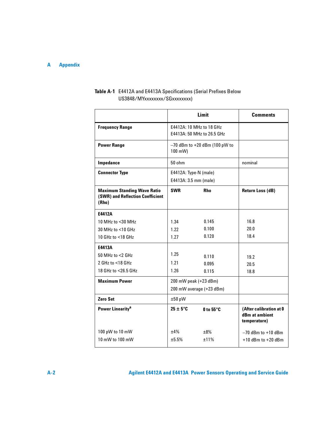### **A Appendix**

|                                                                                 |                                                        | Limit                             | <b>Comments</b>                                           |
|---------------------------------------------------------------------------------|--------------------------------------------------------|-----------------------------------|-----------------------------------------------------------|
| <b>Frequency Range</b>                                                          | E4412A: 10 MHz to 18 GHz<br>E4413A: 50 MHz to 26.5 GHz |                                   |                                                           |
| <b>Power Range</b>                                                              | 100 mW)                                                | $-70$ dBm to $+20$ dBm (100 pW to |                                                           |
| Impedance                                                                       | 50 ohm                                                 |                                   | nominal                                                   |
| <b>Connector Type</b>                                                           | E4412A: Type-N (male)<br>E4413A: 3.5 mm (male)         |                                   |                                                           |
| <b>Maximum Standing Wave Ratio</b><br>(SWR) and Reflection Coefficient<br>(Rho) | <b>SWR</b>                                             | <b>Rho</b>                        | <b>Return Loss (dB)</b>                                   |
| E4412A                                                                          |                                                        |                                   |                                                           |
| 10 MHz to <30 MHz                                                               | 1.34                                                   | 0.145                             | 16.8                                                      |
| 30 MHz to <10 GHz                                                               | 1.22                                                   | 0.100                             | 20.0                                                      |
| 10 GHz to <18 GHz                                                               | 1.27                                                   | 0.120                             | 18.4                                                      |
| E4413A                                                                          |                                                        |                                   |                                                           |
| 50 MHz to $<$ 2 GHz                                                             | 1.25                                                   | 0.110                             | 19.2                                                      |
| 2 GHz to <18 GHz                                                                | 1.21                                                   | 0.095                             | 20.5                                                      |
| 18 GHz to <26.5 GHz                                                             | 1.26                                                   | 0.115                             | 18.8                                                      |
| <b>Maximum Power</b>                                                            | 200 mW peak (+23 dBm)<br>200 mW average (+23 dBm)      |                                   |                                                           |
| <b>Zero Set</b>                                                                 | ±50pW                                                  |                                   |                                                           |
| Power Linearity <sup>a</sup>                                                    | $25 \pm 5^{\circ}$ C                                   | 0 to $55^{\circ}$ C               | (After calibration at 0<br>dBm at ambient<br>temperature) |
| 100 pW to 10 mW                                                                 | ±4%                                                    | ±8%                               | $-70$ dBm to $+10$ dBm                                    |
| 10 mW to 100 mW                                                                 | ±5.5%                                                  | ±11%                              | $+10$ dBm to $+20$ dBm                                    |

### <span id="page-41-1"></span><span id="page-41-0"></span>**Table A-1** E4412A and E4413A Specifications (Serial Prefixes Below US3848/MYxxxxxxx/SGxxxxxxxx)

**A-2 Agilent E4412A and E4413A Power Sensors Operating and Service Guide**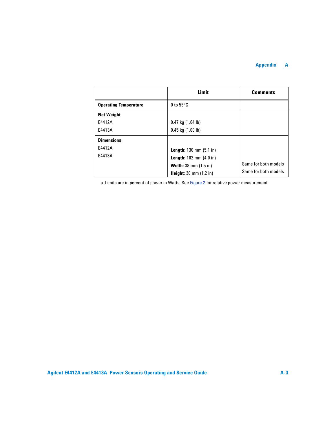## **Appendix A**

|                              | Limit                                                  | <b>Comments</b>      |
|------------------------------|--------------------------------------------------------|----------------------|
| <b>Operating Temperature</b> | 0 to $55^{\circ}$ C                                    |                      |
| <b>Net Weight</b>            |                                                        |                      |
| E4412A                       | $0.47$ kg $(1.04$ lb)                                  |                      |
| F4413A                       | $0.45$ kg $(1.00$ lb)                                  |                      |
| <b>Dimensions</b>            |                                                        |                      |
| E4412A                       | <b>Length:</b> 130 mm $(5.1 \text{ in})$               |                      |
| E4413A                       | <b>Length:</b> $102 \, \text{mm}$ $(4.0 \, \text{in})$ |                      |
|                              | <b>Width:</b> 38 mm (1.5 in)                           | Same for both models |
|                              | <b>Height:</b> 30 mm (1.2 in)                          | Same for both models |

a. Limits are in percent of power in Watts. See [Figure 2](#page-22-0) for relative power measurement.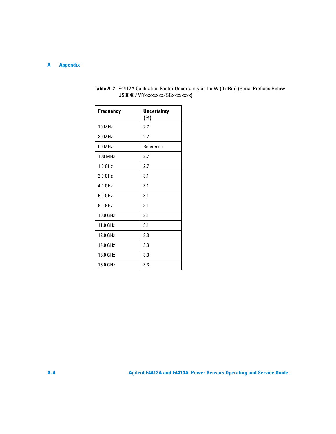## **A Appendix**

| <b>Frequency</b> | <b>Uncertainty</b><br>(%) |
|------------------|---------------------------|
| 10 MHz           | 2.7                       |
| <b>30 MHz</b>    | 2.7                       |
| 50 MHz           | Reference                 |
| 100 MHz          | 2.7                       |
| $1.0$ GHz        | 2.7                       |
| $2.0$ GHz        | 3.1                       |
| $4.0$ GHz        | 3.1                       |
| $6.0$ GHz        | 3.1                       |
| 8.0 GHz          | 3.1                       |
| 10.0 GHz         | 3.1                       |
| 11.0 GHz         | 3.1                       |
| 12.0 GHz         | 3.3                       |
| 14.0 GHz         | 3.3                       |
| 16.0 GHz         | 3.3                       |
| 18.0 GHz         | 3.3                       |

<span id="page-43-1"></span><span id="page-43-0"></span>

| Table A-2 E4412A Calibration Factor Uncertainty at 1 mW (0 dBm) (Serial Prefixes Below |
|----------------------------------------------------------------------------------------|
| US3848/MYxxxxxxxx/SGxxxxxxxx)                                                          |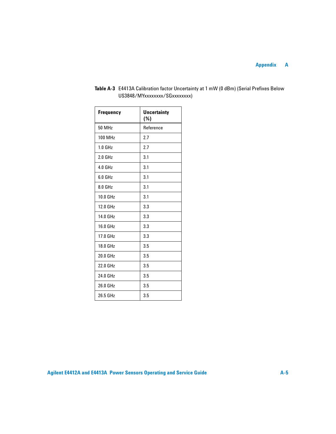**Appendix A**

| <b>Frequency</b> | <b>Uncertainty</b><br>(%) |
|------------------|---------------------------|
| <b>50 MHz</b>    | Reference                 |
| <b>100 MHz</b>   | 2.7                       |
| $1.0$ GHz        | 2.7                       |
| $2.0$ GHz        | 3.1                       |
| $4.0$ GHz        | 3.1                       |
| $6.0$ GHz        | 3.1                       |
| 8.0 GHz          | 3.1                       |
| 10.0 GHz         | 3.1                       |
| 12.0 GHz         | 3.3                       |
| 14.0 GHz         | 3.3                       |
| 16.0 GHz         | 3.3                       |
| 17.0 GHz         | 3.3                       |
| 18.0 GHz         | 3.5                       |
| 20.0 GHz         | 3.5                       |
| 22.0 GHz         | 3.5                       |
| 24.0 GHz         | 3.5                       |
| 26.0 GHz         | 3.5                       |
| 26.5 GHz         | 3.5                       |

<span id="page-44-1"></span><span id="page-44-0"></span>**Table A-3** E4413A Calibration factor Uncertainty at 1 mW (0 dBm) (Serial Prefixes Below US3848/MYxxxxxxx/SGxxxxxxxx)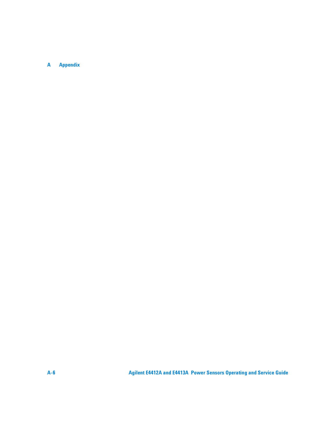**A Appendix**